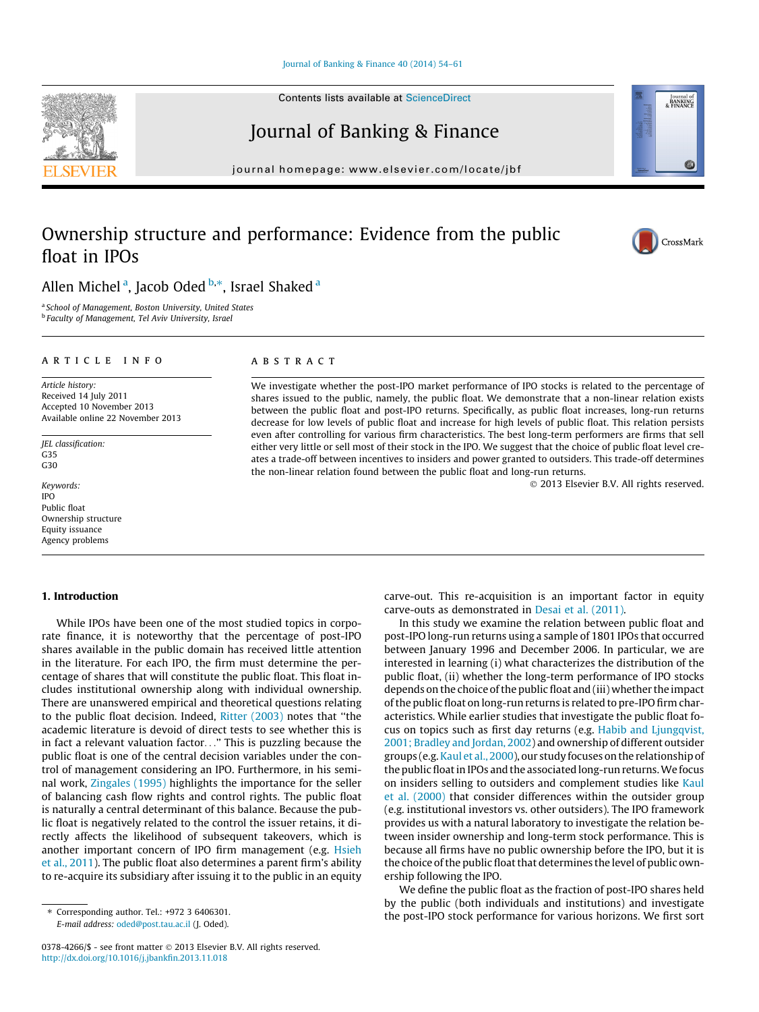### [Journal of Banking & Finance 40 \(2014\) 54–61](http://dx.doi.org/10.1016/j.jbankfin.2013.11.018)

Contents lists available at [ScienceDirect](http://www.sciencedirect.com/science/journal/03784266)

# Journal of Banking & Finance

journal homepage: [www.elsevier.com/locate/jbf](http://www.elsevier.com/locate/jbf)

# Ownership structure and performance: Evidence from the public float in IPOs

Allen Michel <sup>a</sup>, Jacob Oded <sup>b,</sup>\*, Israel Shaked <sup>a</sup>

<sup>a</sup> School of Management, Boston University, United States <sup>b</sup> Faculty of Management, Tel Aviv University, Israel

### article info

Article history: Received 14 July 2011 Accepted 10 November 2013 Available online 22 November 2013

JEL classification: G35 G<sub>30</sub>

Keywords: IPO Public float Ownership structure Equity issuance Agency problems

#### 1. Introduction

While IPOs have been one of the most studied topics in corporate finance, it is noteworthy that the percentage of post-IPO shares available in the public domain has received little attention in the literature. For each IPO, the firm must determine the percentage of shares that will constitute the public float. This float includes institutional ownership along with individual ownership. There are unanswered empirical and theoretical questions relating to the public float decision. Indeed, [Ritter \(2003\)](#page-7-0) notes that ''the academic literature is devoid of direct tests to see whether this is in fact a relevant valuation factor...'' This is puzzling because the public float is one of the central decision variables under the control of management considering an IPO. Furthermore, in his seminal work, [Zingales \(1995\)](#page-7-0) highlights the importance for the seller of balancing cash flow rights and control rights. The public float is naturally a central determinant of this balance. Because the public float is negatively related to the control the issuer retains, it directly affects the likelihood of subsequent takeovers, which is another important concern of IPO firm management (e.g. [Hsieh](#page-7-0) [et al., 2011\)](#page-7-0). The public float also determines a parent firm's ability to re-acquire its subsidiary after issuing it to the public in an equity

### ABSTRACT

We investigate whether the post-IPO market performance of IPO stocks is related to the percentage of shares issued to the public, namely, the public float. We demonstrate that a non-linear relation exists between the public float and post-IPO returns. Specifically, as public float increases, long-run returns decrease for low levels of public float and increase for high levels of public float. This relation persists even after controlling for various firm characteristics. The best long-term performers are firms that sell either very little or sell most of their stock in the IPO. We suggest that the choice of public float level creates a trade-off between incentives to insiders and power granted to outsiders. This trade-off determines the non-linear relation found between the public float and long-run returns.

- 2013 Elsevier B.V. All rights reserved.

carve-out. This re-acquisition is an important factor in equity carve-outs as demonstrated in [Desai et al. \(2011\)](#page-6-0).

In this study we examine the relation between public float and post-IPO long-run returns using a sample of 1801 IPOs that occurred between January 1996 and December 2006. In particular, we are interested in learning (i) what characterizes the distribution of the public float, (ii) whether the long-term performance of IPO stocks depends on the choice of the public float and (iii) whether the impact of the public float on long-run returns is related to pre-IPO firm characteristics. While earlier studies that investigate the public float focus on topics such as first day returns (e.g. [Habib and Ljungqvist,](#page-7-0) [2001; Bradley and Jordan, 2002](#page-7-0)) and ownership of different outsider groups (e.g.[Kaul et al., 2000](#page-7-0)), our study focuses on the relationship of the public float in IPOs and the associated long-run returns.We focus on insiders selling to outsiders and complement studies like [Kaul](#page-7-0) [et al. \(2000\)](#page-7-0) that consider differences within the outsider group (e.g. institutional investors vs. other outsiders). The IPO framework provides us with a natural laboratory to investigate the relation between insider ownership and long-term stock performance. This is because all firms have no public ownership before the IPO, but it is the choice of the public float that determines the level of public ownership following the IPO.

We define the public float as the fraction of post-IPO shares held by the public (both individuals and institutions) and investigate the post-IPO stock performance for various horizons. We first sort







<sup>0378-4266/\$ -</sup> see front matter © 2013 Elsevier B.V. All rights reserved. <http://dx.doi.org/10.1016/j.jbankfin.2013.11.018>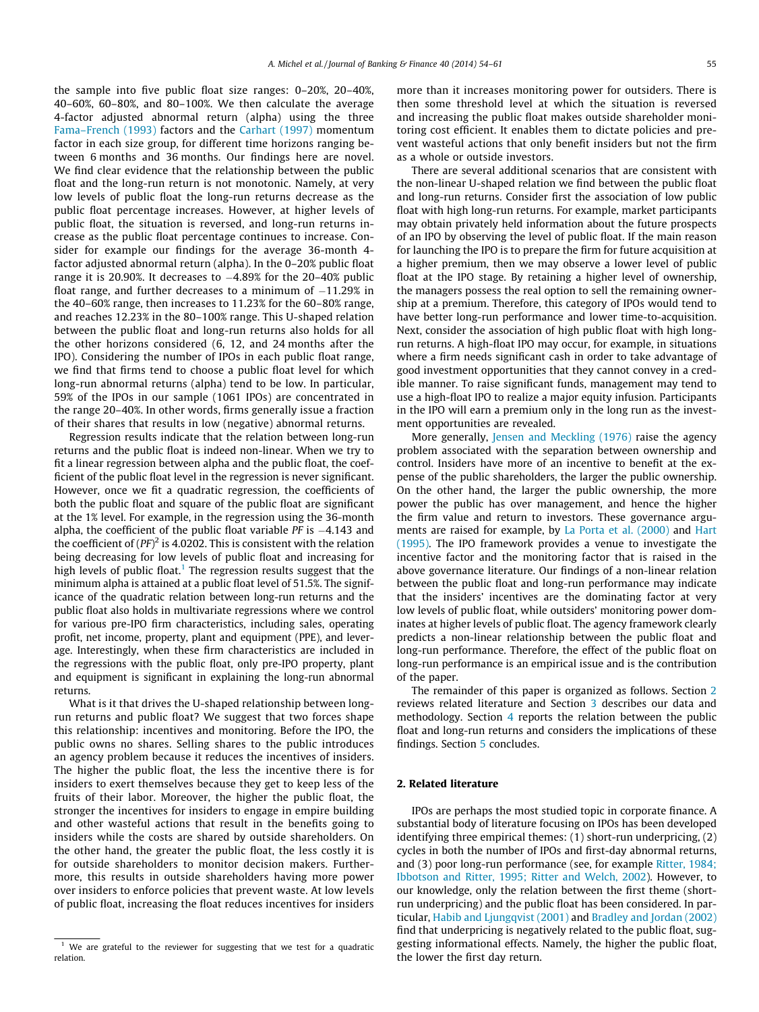the sample into five public float size ranges: 0–20%, 20–40%, 40–60%, 60–80%, and 80–100%. We then calculate the average 4-factor adjusted abnormal return (alpha) using the three [Fama–French \(1993\)](#page-7-0) factors and the [Carhart \(1997\)](#page-6-0) momentum factor in each size group, for different time horizons ranging between 6 months and 36 months. Our findings here are novel. We find clear evidence that the relationship between the public float and the long-run return is not monotonic. Namely, at very low levels of public float the long-run returns decrease as the public float percentage increases. However, at higher levels of public float, the situation is reversed, and long-run returns increase as the public float percentage continues to increase. Consider for example our findings for the average 36-month 4 factor adjusted abnormal return (alpha). In the 0–20% public float range it is 20.90%. It decreases to  $-4.89\%$  for the 20–40% public float range, and further decreases to a minimum of  $-11.29\%$  in the 40–60% range, then increases to 11.23% for the 60–80% range, and reaches 12.23% in the 80–100% range. This U-shaped relation between the public float and long-run returns also holds for all the other horizons considered (6, 12, and 24 months after the IPO). Considering the number of IPOs in each public float range, we find that firms tend to choose a public float level for which long-run abnormal returns (alpha) tend to be low. In particular, 59% of the IPOs in our sample (1061 IPOs) are concentrated in the range 20–40%. In other words, firms generally issue a fraction of their shares that results in low (negative) abnormal returns.

Regression results indicate that the relation between long-run returns and the public float is indeed non-linear. When we try to fit a linear regression between alpha and the public float, the coefficient of the public float level in the regression is never significant. However, once we fit a quadratic regression, the coefficients of both the public float and square of the public float are significant at the 1% level. For example, in the regression using the 36-month alpha, the coefficient of the public float variable PF is  $-4.143$  and the coefficient of  $(PF)^2$  is 4.0202. This is consistent with the relation being decreasing for low levels of public float and increasing for high levels of public float.<sup>1</sup> The regression results suggest that the minimum alpha is attained at a public float level of 51.5%. The significance of the quadratic relation between long-run returns and the public float also holds in multivariate regressions where we control for various pre-IPO firm characteristics, including sales, operating profit, net income, property, plant and equipment (PPE), and leverage. Interestingly, when these firm characteristics are included in the regressions with the public float, only pre-IPO property, plant and equipment is significant in explaining the long-run abnormal returns.

What is it that drives the U-shaped relationship between longrun returns and public float? We suggest that two forces shape this relationship: incentives and monitoring. Before the IPO, the public owns no shares. Selling shares to the public introduces an agency problem because it reduces the incentives of insiders. The higher the public float, the less the incentive there is for insiders to exert themselves because they get to keep less of the fruits of their labor. Moreover, the higher the public float, the stronger the incentives for insiders to engage in empire building and other wasteful actions that result in the benefits going to insiders while the costs are shared by outside shareholders. On the other hand, the greater the public float, the less costly it is for outside shareholders to monitor decision makers. Furthermore, this results in outside shareholders having more power over insiders to enforce policies that prevent waste. At low levels of public float, increasing the float reduces incentives for insiders more than it increases monitoring power for outsiders. There is then some threshold level at which the situation is reversed and increasing the public float makes outside shareholder monitoring cost efficient. It enables them to dictate policies and prevent wasteful actions that only benefit insiders but not the firm as a whole or outside investors.

There are several additional scenarios that are consistent with the non-linear U-shaped relation we find between the public float and long-run returns. Consider first the association of low public float with high long-run returns. For example, market participants may obtain privately held information about the future prospects of an IPO by observing the level of public float. If the main reason for launching the IPO is to prepare the firm for future acquisition at a higher premium, then we may observe a lower level of public float at the IPO stage. By retaining a higher level of ownership, the managers possess the real option to sell the remaining ownership at a premium. Therefore, this category of IPOs would tend to have better long-run performance and lower time-to-acquisition. Next, consider the association of high public float with high longrun returns. A high-float IPO may occur, for example, in situations where a firm needs significant cash in order to take advantage of good investment opportunities that they cannot convey in a credible manner. To raise significant funds, management may tend to use a high-float IPO to realize a major equity infusion. Participants in the IPO will earn a premium only in the long run as the investment opportunities are revealed.

More generally, [Jensen and Meckling \(1976\)](#page-7-0) raise the agency problem associated with the separation between ownership and control. Insiders have more of an incentive to benefit at the expense of the public shareholders, the larger the public ownership. On the other hand, the larger the public ownership, the more power the public has over management, and hence the higher the firm value and return to investors. These governance arguments are raised for example, by [La Porta et al. \(2000\)](#page-7-0) and [Hart](#page-7-0) [\(1995\).](#page-7-0) The IPO framework provides a venue to investigate the incentive factor and the monitoring factor that is raised in the above governance literature. Our findings of a non-linear relation between the public float and long-run performance may indicate that the insiders' incentives are the dominating factor at very low levels of public float, while outsiders' monitoring power dominates at higher levels of public float. The agency framework clearly predicts a non-linear relationship between the public float and long-run performance. Therefore, the effect of the public float on long-run performance is an empirical issue and is the contribution of the paper.

The remainder of this paper is organized as follows. Section 2 reviews related literature and Section [3](#page-2-0) describes our data and methodology. Section [4](#page-3-0) reports the relation between the public float and long-run returns and considers the implications of these findings. Section [5](#page-6-0) concludes.

## 2. Related literature

IPOs are perhaps the most studied topic in corporate finance. A substantial body of literature focusing on IPOs has been developed identifying three empirical themes: (1) short-run underpricing, (2) cycles in both the number of IPOs and first-day abnormal returns, and (3) poor long-run performance (see, for example [Ritter, 1984;](#page-7-0) [Ibbotson and Ritter, 1995; Ritter and Welch, 2002](#page-7-0)). However, to our knowledge, only the relation between the first theme (shortrun underpricing) and the public float has been considered. In particular, [Habib and Ljungqvist \(2001\)](#page-7-0) and [Bradley and Jordan \(2002\)](#page-6-0) find that underpricing is negatively related to the public float, suggesting informational effects. Namely, the higher the public float, the lower the first day return.

 $1$  We are grateful to the reviewer for suggesting that we test for a quadratic relation.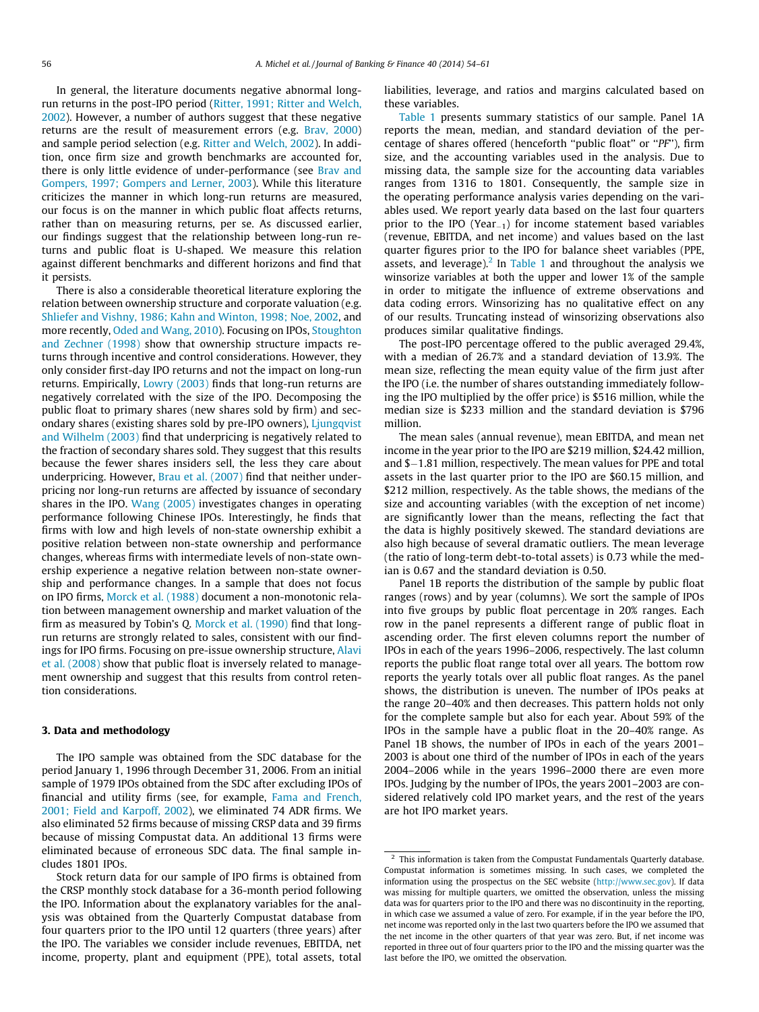<span id="page-2-0"></span>In general, the literature documents negative abnormal longrun returns in the post-IPO period ([Ritter, 1991; Ritter and Welch,](#page-7-0) [2002\)](#page-7-0). However, a number of authors suggest that these negative returns are the result of measurement errors (e.g. [Brav, 2000\)](#page-6-0) and sample period selection (e.g. [Ritter and Welch, 2002\)](#page-7-0). In addition, once firm size and growth benchmarks are accounted for, there is only little evidence of under-performance (see [Brav and](#page-6-0) [Gompers, 1997; Gompers and Lerner, 2003](#page-6-0)). While this literature criticizes the manner in which long-run returns are measured, our focus is on the manner in which public float affects returns, rather than on measuring returns, per se. As discussed earlier, our findings suggest that the relationship between long-run returns and public float is U-shaped. We measure this relation against different benchmarks and different horizons and find that it persists.

There is also a considerable theoretical literature exploring the relation between ownership structure and corporate valuation (e.g. [Shliefer and Vishny, 1986; Kahn and Winton, 1998; Noe, 2002,](#page-7-0) and more recently, [Oded and Wang, 2010](#page-7-0)). Focusing on IPOs, [Stoughton](#page-7-0) [and Zechner \(1998\)](#page-7-0) show that ownership structure impacts returns through incentive and control considerations. However, they only consider first-day IPO returns and not the impact on long-run returns. Empirically, [Lowry \(2003\)](#page-7-0) finds that long-run returns are negatively correlated with the size of the IPO. Decomposing the public float to primary shares (new shares sold by firm) and secondary shares (existing shares sold by pre-IPO owners), [Ljungqvist](#page-7-0) [and Wilhelm \(2003\)](#page-7-0) find that underpricing is negatively related to the fraction of secondary shares sold. They suggest that this results because the fewer shares insiders sell, the less they care about underpricing. However, [Brau et al. \(2007\)](#page-6-0) find that neither underpricing nor long-run returns are affected by issuance of secondary shares in the IPO. [Wang \(2005\)](#page-7-0) investigates changes in operating performance following Chinese IPOs. Interestingly, he finds that firms with low and high levels of non-state ownership exhibit a positive relation between non-state ownership and performance changes, whereas firms with intermediate levels of non-state ownership experience a negative relation between non-state ownership and performance changes. In a sample that does not focus on IPO firms, [Morck et al. \(1988\)](#page-7-0) document a non-monotonic relation between management ownership and market valuation of the firm as measured by Tobin's Q. [Morck et al. \(1990\)](#page-7-0) find that longrun returns are strongly related to sales, consistent with our findings for IPO firms. Focusing on pre-issue ownership structure, [Alavi](#page-6-0) [et al. \(2008\)](#page-6-0) show that public float is inversely related to management ownership and suggest that this results from control retention considerations.

### 3. Data and methodology

The IPO sample was obtained from the SDC database for the period January 1, 1996 through December 31, 2006. From an initial sample of 1979 IPOs obtained from the SDC after excluding IPOs of financial and utility firms (see, for example, [Fama and French,](#page-7-0) [2001; Field and Karpoff, 2002\)](#page-7-0), we eliminated 74 ADR firms. We also eliminated 52 firms because of missing CRSP data and 39 firms because of missing Compustat data. An additional 13 firms were eliminated because of erroneous SDC data. The final sample includes 1801 IPOs.

Stock return data for our sample of IPO firms is obtained from the CRSP monthly stock database for a 36-month period following the IPO. Information about the explanatory variables for the analysis was obtained from the Quarterly Compustat database from four quarters prior to the IPO until 12 quarters (three years) after the IPO. The variables we consider include revenues, EBITDA, net income, property, plant and equipment (PPE), total assets, total liabilities, leverage, and ratios and margins calculated based on these variables.

[Table 1](#page-3-0) presents summary statistics of our sample. Panel 1A reports the mean, median, and standard deviation of the percentage of shares offered (henceforth ''public float'' or ''PF''), firm size, and the accounting variables used in the analysis. Due to missing data, the sample size for the accounting data variables ranges from 1316 to 1801. Consequently, the sample size in the operating performance analysis varies depending on the variables used. We report yearly data based on the last four quarters prior to the IPO (Year<sub>-1</sub>) for income statement based variables (revenue, EBITDA, and net income) and values based on the last quarter figures prior to the IPO for balance sheet variables (PPE, assets, and leverage).<sup>2</sup> In [Table 1](#page-3-0) and throughout the analysis we winsorize variables at both the upper and lower 1% of the sample in order to mitigate the influence of extreme observations and data coding errors. Winsorizing has no qualitative effect on any of our results. Truncating instead of winsorizing observations also produces similar qualitative findings.

The post-IPO percentage offered to the public averaged 29.4%, with a median of 26.7% and a standard deviation of 13.9%. The mean size, reflecting the mean equity value of the firm just after the IPO (i.e. the number of shares outstanding immediately following the IPO multiplied by the offer price) is \$516 million, while the median size is \$233 million and the standard deviation is \$796 million.

The mean sales (annual revenue), mean EBITDA, and mean net income in the year prior to the IPO are \$219 million, \$24.42 million, and \$-1.81 million, respectively. The mean values for PPE and total assets in the last quarter prior to the IPO are \$60.15 million, and \$212 million, respectively. As the table shows, the medians of the size and accounting variables (with the exception of net income) are significantly lower than the means, reflecting the fact that the data is highly positively skewed. The standard deviations are also high because of several dramatic outliers. The mean leverage (the ratio of long-term debt-to-total assets) is 0.73 while the median is 0.67 and the standard deviation is 0.50.

Panel 1B reports the distribution of the sample by public float ranges (rows) and by year (columns). We sort the sample of IPOs into five groups by public float percentage in 20% ranges. Each row in the panel represents a different range of public float in ascending order. The first eleven columns report the number of IPOs in each of the years 1996–2006, respectively. The last column reports the public float range total over all years. The bottom row reports the yearly totals over all public float ranges. As the panel shows, the distribution is uneven. The number of IPOs peaks at the range 20–40% and then decreases. This pattern holds not only for the complete sample but also for each year. About 59% of the IPOs in the sample have a public float in the 20–40% range. As Panel 1B shows, the number of IPOs in each of the years 2001– 2003 is about one third of the number of IPOs in each of the years 2004–2006 while in the years 1996–2000 there are even more IPOs. Judging by the number of IPOs, the years 2001–2003 are considered relatively cold IPO market years, and the rest of the years are hot IPO market years.

 $2$  This information is taken from the Compustat Fundamentals Quarterly database. Compustat information is sometimes missing. In such cases, we completed the information using the prospectus on the SEC website [\(http://www.sec.gov\)](http://www.sec.gov). If data was missing for multiple quarters, we omitted the observation, unless the missing data was for quarters prior to the IPO and there was no discontinuity in the reporting, in which case we assumed a value of zero. For example, if in the year before the IPO, net income was reported only in the last two quarters before the IPO we assumed that the net income in the other quarters of that year was zero. But, if net income was reported in three out of four quarters prior to the IPO and the missing quarter was the last before the IPO, we omitted the observation.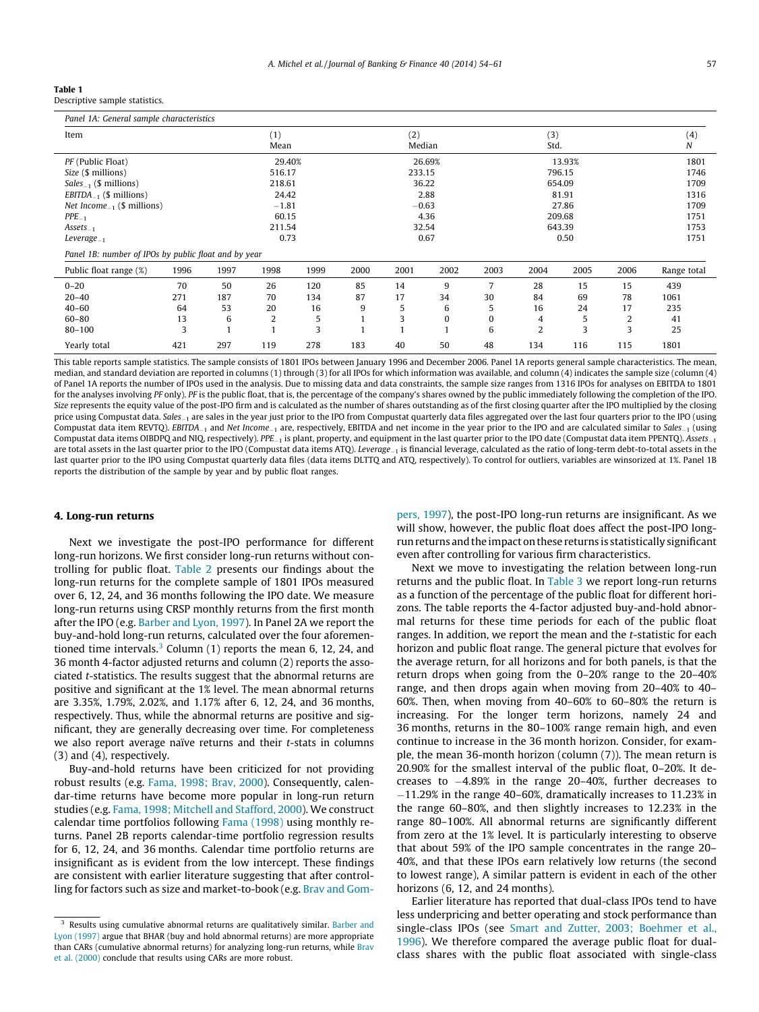<span id="page-3-0"></span>

| Table 1                        |  |
|--------------------------------|--|
| Descriptive sample statistics. |  |

Panel 1A: General sample characteristics

| Tuner 171. General sumple characteristics            |      |             |         |      |      |               |          |             |        |        |      |             |
|------------------------------------------------------|------|-------------|---------|------|------|---------------|----------|-------------|--------|--------|------|-------------|
| Item                                                 |      | (1)<br>Mean |         |      |      | (2)<br>Median |          | (3)<br>Std. |        |        |      | (4)<br>Ν    |
| PF (Public Float)                                    |      | 29.40%      |         |      |      | 26.69%        |          |             | 13.93% |        |      | 1801        |
| Size (\$ millions)                                   |      |             | 516.17  |      |      | 233.15        |          |             | 796.15 |        |      | 1746        |
| $Sales_{-1}$ (\$ millions)                           |      |             | 218.61  |      |      | 36.22         |          |             | 654.09 |        |      | 1709        |
| $EBITDA_{-1}$ (\$ millions)                          |      |             | 24.42   |      |      | 2.88          |          |             |        | 81.91  |      | 1316        |
| Net Income <sub>-1</sub> (\$ millions)               |      |             | $-1.81$ |      |      | $-0.63$       |          |             |        | 27.86  | 1709 |             |
| $PPE_{-1}$                                           |      |             | 60.15   |      |      | 4.36          |          |             |        | 209.68 |      | 1751        |
| $Assets_{-1}$                                        |      |             | 211.54  |      |      | 32.54         |          |             |        | 643.39 | 1753 |             |
| Leverage $_{-1}$                                     |      |             | 0.73    |      |      | 0.67          |          |             |        | 0.50   |      |             |
| Panel 1B: number of IPOs by public float and by year |      |             |         |      |      |               |          |             |        |        |      |             |
| Public float range (%)                               | 1996 | 1997        | 1998    | 1999 | 2000 | 2001          | 2002     | 2003        | 2004   | 2005   | 2006 | Range total |
| $0 - 20$                                             | 70   | 50          | 26      | 120  | 85   | 14            | 9        |             | 28     | 15     | 15   | 439         |
| $20 - 40$                                            | 271  | 187         | 70      | 134  | 87   | 17            | 34       | 30          | 84     | 69     | 78   | 1061        |
| $40 - 60$                                            | 64   | 53          | 20      | 16   | 9    | 5             | 6        |             | 16     | 24     | 17   | 235         |
| $60 - 80$                                            | 13   | 6           | 2       | 5    |      | 3             | $\bf{0}$ |             | 4      | 5      | 2    | 41          |
| $80 - 100$                                           | 3    |             |         | 3    |      |               |          | 6           | 2      | 3      | 3    | 25          |
| Yearly total                                         | 421  | 297         | 119     | 278  | 183  | 40            | 50       | 48          | 134    | 116    | 115  | 1801        |

This table reports sample statistics. The sample consists of 1801 IPOs between January 1996 and December 2006. Panel 1A reports general sample characteristics. The mean, median, and standard deviation are reported in columns (1) through (3) for all IPOs for which information was available, and column (4) indicates the sample size (column (4) of Panel 1A reports the number of IPOs used in the analysis. Due to missing data and data constraints, the sample size ranges from 1316 IPOs for analyses on EBITDA to 1801 for the analyses involving PF only). PF is the public float, that is, the percentage of the company's shares owned by the public immediately following the completion of the IPO. Size represents the equity value of the post-IPO firm and is calculated as the number of shares outstanding as of the first closing quarter after the IPO multiplied by the closing price using Compustat data. Sales\_<sub>1</sub> are sales in the year just prior to the IPO from Compustat quarterly data files aggregated over the last four quarters prior to the IPO (using Compustat data item REVTQ). EBITDA<sub>–1</sub> and Net Income<sub>–1</sub> are, respectively, EBITDA and net income in the year prior to the IPO and are calculated similar to Sales<sub>–1</sub> (using Compustat data items OIBDPQ and NIQ, respectively). PPE<sub>–1</sub> is plant, property, and equipment in the last quarter prior to the IPO date (Compustat data item PPENTQ). Assets<sub>–1</sub> are total assets in the last quarter prior to the IPO (Compustat data items ATQ). *Leverage\_* is financial leverage, calculated as the ratio of long-term debt-to-total assets in the last quarter prior to the IPO using Compustat quarterly data files (data items DLTTQ and ATQ, respectively). To control for outliers, variables are winsorized at 1%. Panel 1B reports the distribution of the sample by year and by public float ranges.

# 4. Long-run returns

Next we investigate the post-IPO performance for different long-run horizons. We first consider long-run returns without controlling for public float. [Table 2](#page-4-0) presents our findings about the long-run returns for the complete sample of 1801 IPOs measured over 6, 12, 24, and 36 months following the IPO date. We measure long-run returns using CRSP monthly returns from the first month after the IPO (e.g. [Barber and Lyon, 1997](#page-6-0)). In Panel 2A we report the buy-and-hold long-run returns, calculated over the four aforementioned time intervals.<sup>3</sup> Column  $(1)$  reports the mean 6, 12, 24, and 36 month 4-factor adjusted returns and column (2) reports the associated t-statistics. The results suggest that the abnormal returns are positive and significant at the 1% level. The mean abnormal returns are 3.35%, 1.79%, 2.02%, and 1.17% after 6, 12, 24, and 36 months, respectively. Thus, while the abnormal returns are positive and significant, they are generally decreasing over time. For completeness we also report average naïve returns and their t-stats in columns (3) and (4), respectively.

Buy-and-hold returns have been criticized for not providing robust results (e.g. [Fama, 1998; Brav, 2000\)](#page-6-0). Consequently, calendar-time returns have become more popular in long-run return studies (e.g. [Fama, 1998; Mitchell and Stafford, 2000](#page-6-0)). We construct calendar time portfolios following [Fama \(1998\)](#page-6-0) using monthly returns. Panel 2B reports calendar-time portfolio regression results for 6, 12, 24, and 36 months. Calendar time portfolio returns are insignificant as is evident from the low intercept. These findings are consistent with earlier literature suggesting that after controlling for factors such as size and market-to-book (e.g. [Brav and Gom-](#page-6-0) [pers, 1997](#page-6-0)), the post-IPO long-run returns are insignificant. As we will show, however, the public float does affect the post-IPO longrun returns and the impact on these returns is statistically significant even after controlling for various firm characteristics.

Next we move to investigating the relation between long-run returns and the public float. In [Table 3](#page-4-0) we report long-run returns as a function of the percentage of the public float for different horizons. The table reports the 4-factor adjusted buy-and-hold abnormal returns for these time periods for each of the public float ranges. In addition, we report the mean and the t-statistic for each horizon and public float range. The general picture that evolves for the average return, for all horizons and for both panels, is that the return drops when going from the 0–20% range to the 20–40% range, and then drops again when moving from 20–40% to 40– 60%. Then, when moving from 40–60% to 60–80% the return is increasing. For the longer term horizons, namely 24 and 36 months, returns in the 80–100% range remain high, and even continue to increase in the 36 month horizon. Consider, for example, the mean 36-month horizon (column (7)). The mean return is 20.90% for the smallest interval of the public float, 0–20%. It decreases to -4.89% in the range 20–40%, further decreases to -11.29% in the range 40–60%, dramatically increases to 11.23% in the range 60–80%, and then slightly increases to 12.23% in the range 80–100%. All abnormal returns are significantly different from zero at the 1% level. It is particularly interesting to observe that about 59% of the IPO sample concentrates in the range 20– 40%, and that these IPOs earn relatively low returns (the second to lowest range), A similar pattern is evident in each of the other horizons (6, 12, and 24 months).

Earlier literature has reported that dual-class IPOs tend to have less underpricing and better operating and stock performance than single-class IPOs (see [Smart and Zutter, 2003; Boehmer et al.,](#page-7-0) [1996\)](#page-7-0). We therefore compared the average public float for dualclass shares with the public float associated with single-class

<sup>&</sup>lt;sup>3</sup> Results using cumulative abnormal returns are qualitatively similar. [Barber and](#page-6-0) [Lyon \(1997\)](#page-6-0) argue that BHAR (buy and hold abnormal returns) are more appropriate than CARs (cumulative abnormal returns) for analyzing long-run returns, while [Brav](#page-6-0) [et al. \(2000\)](#page-6-0) conclude that results using CARs are more robust.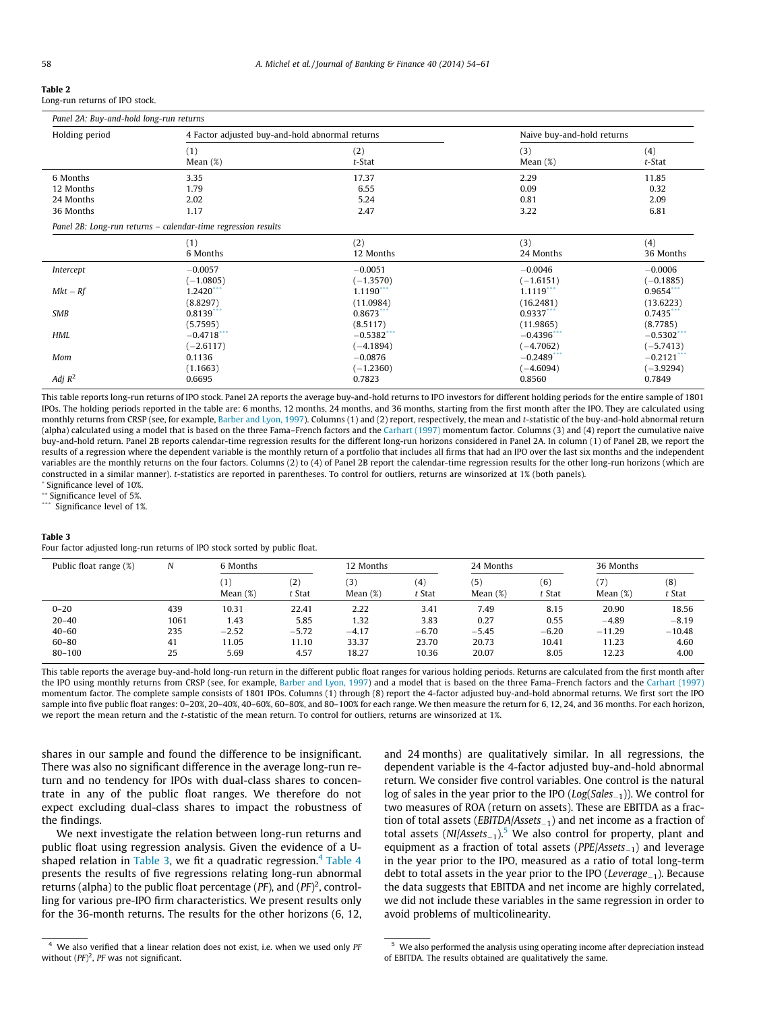<span id="page-4-0"></span>

Long-run returns of IPO stock.

Panel 2A: Buy-and-hold long-run returns

| Holding period | 4 Factor adjusted buy-and-hold abnormal returns               |                  | Naive buy-and-hold returns |                  |
|----------------|---------------------------------------------------------------|------------------|----------------------------|------------------|
|                | (1)<br>Mean $(\%)$                                            | (2)<br>$t$ -Stat | (3)<br>Mean $(\%)$         | (4)<br>t-Stat    |
| 6 Months       | 3.35                                                          | 17.37            | 2.29                       | 11.85            |
| 12 Months      | 1.79                                                          | 6.55             | 0.09                       | 0.32             |
| 24 Months      | 2.02                                                          | 5.24             | 0.81                       | 2.09             |
| 36 Months      | 1.17                                                          | 2.47             | 3.22                       | 6.81             |
|                | Panel 2B: Long-run returns - calendar-time regression results |                  |                            |                  |
|                | (1)<br>6 Months                                               | (2)<br>12 Months | (3)<br>24 Months           | (4)<br>36 Months |
| Intercept      | $-0.0057$                                                     | $-0.0051$        | $-0.0046$                  | $-0.0006$        |
|                | $(-1.0805)$                                                   | $(-1.3570)$      | $(-1.6151)$                | $(-0.1885)$      |
| $Mkt - Rf$     | $1.2420$ ***                                                  | 1.1190           | $1.1119$ ***               | 0.9654           |
|                | (8.8297)                                                      | (11.0984)        | (16.2481)                  | (13.6223)        |
| SMB            | $0.8139$ ***                                                  | $0.8673***$      | $0.9337***$                | $0.7435$ ***     |
|                | (5.7595)                                                      | (8.5117)         | (11.9865)                  | (8.7785)         |
| HML            | $-0.4718$ <sup>***</sup>                                      | $-0.5382$ ***    | $-0.4396$                  | $-0.5302$        |
|                | $(-2.6117)$                                                   | $(-4.1894)$      | $(-4.7062)$                | $(-5.7413)$      |
| Mom            | 0.1136                                                        | $-0.0876$        | $-0.2489$                  | $-0.2121$        |
|                | (1.1663)                                                      | $(-1.2360)$      | $(-4.6094)$                | $(-3.9294)$      |
| Adj $R^2$      | 0.6695                                                        | 0.7823           | 0.8560                     | 0.7849           |

This table reports long-run returns of IPO stock. Panel 2A reports the average buy-and-hold returns to IPO investors for different holding periods for the entire sample of 1801 IPOs. The holding periods reported in the table are: 6 months, 12 months, 24 months, and 36 months, starting from the first month after the IPO. They are calculated using monthly returns from CRSP (see, for example, [Barber and Lyon, 1997\)](#page-6-0). Columns (1) and (2) report, respectively, the mean and t-statistic of the buy-and-hold abnormal return (alpha) calculated using a model that is based on the three Fama–French factors and the [Carhart \(1997\)](#page-6-0) momentum factor. Columns (3) and (4) report the cumulative naive buy-and-hold return. Panel 2B reports calendar-time regression results for the different long-run horizons considered in Panel 2A. In column (1) of Panel 2B, we report the results of a regression where the dependent variable is the monthly return of a portfolio that includes all firms that had an IPO over the last six months and the independent variables are the monthly returns on the four factors. Columns (2) to (4) of Panel 2B report the calendar-time regression results for the other long-run horizons (which are constructed in a similar manner). t-statistics are reported in parentheses. To control for outliers, returns are winsorized at 1% (both panels). Significance level of 10%.

\*\* Significance level of 5%.

\*\*\* Significance level of 1%.

#### Table 3

Four factor adjusted long-run returns of IPO stock sorted by public float.

| Public float range (%) | N    | 6 Months    |               | 12 Months          |               | 24 Months                       |               | 36 Months          |                    |
|------------------------|------|-------------|---------------|--------------------|---------------|---------------------------------|---------------|--------------------|--------------------|
|                        |      | Mean $(\%)$ | (2)<br>t Stat | (3)<br>Mean $(\%)$ | (4)<br>t Stat | $\left(5\right)$<br>Mean $(\%)$ | (6)<br>t Stat | (7)<br>Mean $(\%)$ | $^{(8)}$<br>t Stat |
| $0 - 20$               | 439  | 10.31       | 22.41         | 2.22               | 3.41          | 7.49                            | 8.15          | 20.90              | 18.56              |
| $20 - 40$              | 1061 | 1.43        | 5.85          | 1.32               | 3.83          | 0.27                            | 0.55          | $-4.89$            | $-8.19$            |
| $40 - 60$              | 235  | $-2.52$     | $-5.72$       | $-4.17$            | $-6.70$       | $-5.45$                         | $-6.20$       | $-11.29$           | $-10.48$           |
| 60-80                  | 41   | 11.05       | 11.10         | 33.37              | 23.70         | 20.73                           | 10.41         | 11.23              | 4.60               |
| 80-100                 | 25   | 5.69        | 4.57          | 18.27              | 10.36         | 20.07                           | 8.05          | 12.23              | 4.00               |

This table reports the average buy-and-hold long-run return in the different public float ranges for various holding periods. Returns are calculated from the first month after the IPO using monthly returns from CRSP (see, for example, [Barber and Lyon, 1997](#page-6-0)) and a model that is based on the three Fama–French factors and the [Carhart \(1997\)](#page-6-0) momentum factor. The complete sample consists of 1801 IPOs. Columns (1) through (8) report the 4-factor adjusted buy-and-hold abnormal returns. We first sort the IPO sample into five public float ranges: 0-20%, 20-40%, 40-60%, 60-80%, and 80-100% for each range. We then measure the return for 6, 12, 24, and 36 months. For each horizon, we report the mean return and the t-statistic of the mean return. To control for outliers, returns are winsorized at 1%.

shares in our sample and found the difference to be insignificant. There was also no significant difference in the average long-run return and no tendency for IPOs with dual-class shares to concentrate in any of the public float ranges. We therefore do not expect excluding dual-class shares to impact the robustness of the findings.

We next investigate the relation between long-run returns and public float using regression analysis. Given the evidence of a U-shaped relation in Table 3, we fit a quadratic regression.<sup>4</sup> [Table 4](#page-5-0) presents the results of five regressions relating long-run abnormal returns (alpha) to the public float percentage (PF), and (PF)<sup>2</sup>, controlling for various pre-IPO firm characteristics. We present results only for the 36-month returns. The results for the other horizons (6, 12, and 24 months) are qualitatively similar. In all regressions, the dependent variable is the 4-factor adjusted buy-and-hold abnormal return. We consider five control variables. One control is the natural log of sales in the year prior to the IPO ( $Log(Sales_{-1})$ ). We control for two measures of ROA (return on assets). These are EBITDA as a fraction of total assets (*EBITDA*/*Assets*<sub> $-1$ </sub>) and net income as a fraction of total assets  $(NI/Assets_{-1})$ .<sup>5</sup> We also control for property, plant and equipment as a fraction of total assets ( $PPE/Assets_{-1}$ ) and leverage in the year prior to the IPO, measured as a ratio of total long-term debt to total assets in the year prior to the IPO (Leverage<sub>-1</sub>). Because the data suggests that EBITDA and net income are highly correlated, we did not include these variables in the same regression in order to avoid problems of multicolinearity.

<sup>4</sup> We also verified that a linear relation does not exist, i.e. when we used only PF without  $(PF)^2$ , PF was not significant.

 $^{\rm 5}$  We also performed the analysis using operating income after depreciation instead of EBITDA. The results obtained are qualitatively the same.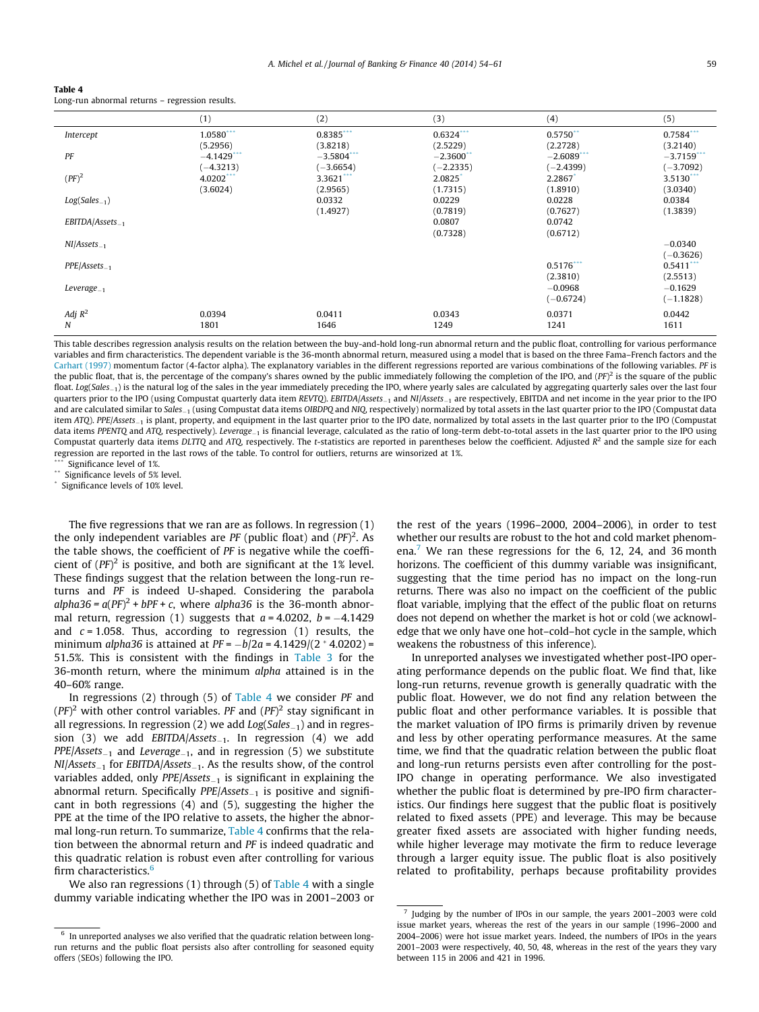<span id="page-5-0"></span>

|  |  | Long-run abnormal returns - regression results. |  |
|--|--|-------------------------------------------------|--|
|  |  |                                                 |  |

| $0.7584$ ***<br>(3.2140)<br>$-3.7159$ ***<br>$(-3.7092)$<br>3.5130 |
|--------------------------------------------------------------------|
|                                                                    |
|                                                                    |
|                                                                    |
|                                                                    |
|                                                                    |
| (3.0340)                                                           |
| 0.0384                                                             |
| (1.3839)                                                           |
|                                                                    |
|                                                                    |
| $-0.0340$                                                          |
| $(-0.3626)$                                                        |
| 0.5411                                                             |
| (2.5513)                                                           |
| $-0.1629$                                                          |
| $(-1.1828)$                                                        |
| 0.0442                                                             |
| 1611                                                               |
|                                                                    |

This table describes regression analysis results on the relation between the buy-and-hold long-run abnormal return and the public float, controlling for various performance variables and firm characteristics. The dependent variable is the 36-month abnormal return, measured using a model that is based on the three Fama–French factors and the [Carhart \(1997\)](#page-6-0) momentum factor (4-factor alpha). The explanatory variables in the different regressions reported are various combinations of the following variables. PF is the public float, that is, the percentage of the company's shares owned by the public immediately following the completion of the IPO, and (PF)<sup>2</sup> is the square of the public float. Log(Sales<sub>–1</sub>) is the natural log of the sales in the year immediately preceding the IPO, where yearly sales are calculated by aggregating quarterly sales over the last four quarters prior to the IPO (using Compustat quarterly data item REVTQ). EBITDA/Assets\_<sub>1</sub> and NI/Assets\_<sub>1</sub> are respectively, EBITDA and net income in the year prior to the IPC and are calculated similar to Sales\_<sub>1</sub> (using Compustat data items OIBDPQ and NIQ, respectively) normalized by total assets in the last quarter prior to the IPO (Compustat data item ATQ). PPE/Assets<sub>—1</sub> is plant, property, and equipment in the last quarter prior to the IPO date, normalized by total assets in the last quarter prior to the IPO (Compustat data items PPENTQ and ATQ, respectively). Leverage<sub>—1</sub> is financial leverage, calculated as the ratio of long-term debt-to-total assets in the last quarter prior to the IPO using Compustat quarterly data items DLTTQ and ATQ, respectively. The t-statistics are reported in parentheses below the coefficient. Adjusted  $R<sup>2</sup>$  and the sample size for each regression are reported in the last rows of the table. To control for outliers, returns are winsorized at 1%.

Significance level of 1%.

\*\* Significance levels of 5% level.

Significance levels of 10% level.

The five regressions that we ran are as follows. In regression (1) the only independent variables are PF (public float) and  $(PF)^2$ . As the table shows, the coefficient of PF is negative while the coefficient of  $(PF)^2$  is positive, and both are significant at the 1% level. These findings suggest that the relation between the long-run returns and PF is indeed U-shaped. Considering the parabola alpha36 =  $a(PF)^2$  + bPF + c, where alpha36 is the 36-month abnormal return, regression (1) suggests that  $a$  = 4.0202,  $b$  =  $-4.1429\,$ and  $c = 1.058$ . Thus, according to regression (1) results, the minimum *alpha*36 is attained at  $PF = -b/2a = 4.1429/(2 * 4.0202) =$ 51.5%. This is consistent with the findings in [Table 3](#page-4-0) for the 36-month return, where the minimum alpha attained is in the 40–60% range.

In regressions (2) through (5) of Table 4 we consider  $PF$  and  $(PF)^2$  with other control variables. PF and  $(PF)^2$  stay significant in all regressions. In regression (2) we add *Log(Sales<sub>–1</sub>)* and in regression (3) we add  $EBITDA/Assets_{-1}$ . In regression (4) we add *PPE*/Assets<sub>–1</sub> and Leverage<sub>–1</sub>, and in regression (5) we substitute  $\text{\sc NI/Assets}_{-1}$  for EBITDA/Assets $_{-1}.$  As the results show, of the control variables added, only  $\mathit{PPE}/\mathit{Assets}_{-1}$  is significant in explaining the abnormal return. Specifically  $PPE/Assets_{-1}$  is positive and significant in both regressions (4) and (5), suggesting the higher the PPE at the time of the IPO relative to assets, the higher the abnormal long-run return. To summarize, Table 4 confirms that the relation between the abnormal return and PF is indeed quadratic and this quadratic relation is robust even after controlling for various firm characteristics.<sup>6</sup>

We also ran regressions  $(1)$  through  $(5)$  of Table 4 with a single dummy variable indicating whether the IPO was in 2001–2003 or the rest of the years (1996–2000, 2004–2006), in order to test whether our results are robust to the hot and cold market phenomena.<sup>7</sup> We ran these regressions for the 6, 12, 24, and 36 month horizons. The coefficient of this dummy variable was insignificant, suggesting that the time period has no impact on the long-run returns. There was also no impact on the coefficient of the public float variable, implying that the effect of the public float on returns does not depend on whether the market is hot or cold (we acknowledge that we only have one hot–cold–hot cycle in the sample, which weakens the robustness of this inference).

In unreported analyses we investigated whether post-IPO operating performance depends on the public float. We find that, like long-run returns, revenue growth is generally quadratic with the public float. However, we do not find any relation between the public float and other performance variables. It is possible that the market valuation of IPO firms is primarily driven by revenue and less by other operating performance measures. At the same time, we find that the quadratic relation between the public float and long-run returns persists even after controlling for the post-IPO change in operating performance. We also investigated whether the public float is determined by pre-IPO firm characteristics. Our findings here suggest that the public float is positively related to fixed assets (PPE) and leverage. This may be because greater fixed assets are associated with higher funding needs, while higher leverage may motivate the firm to reduce leverage through a larger equity issue. The public float is also positively related to profitability, perhaps because profitability provides

 $6$  In unreported analyses we also verified that the quadratic relation between longrun returns and the public float persists also after controlling for seasoned equity offers (SEOs) following the IPO.

Judging by the number of IPOs in our sample, the years 2001–2003 were cold issue market years, whereas the rest of the years in our sample (1996–2000 and 2004–2006) were hot issue market years. Indeed, the numbers of IPOs in the years 2001–2003 were respectively, 40, 50, 48, whereas in the rest of the years they vary between 115 in 2006 and 421 in 1996.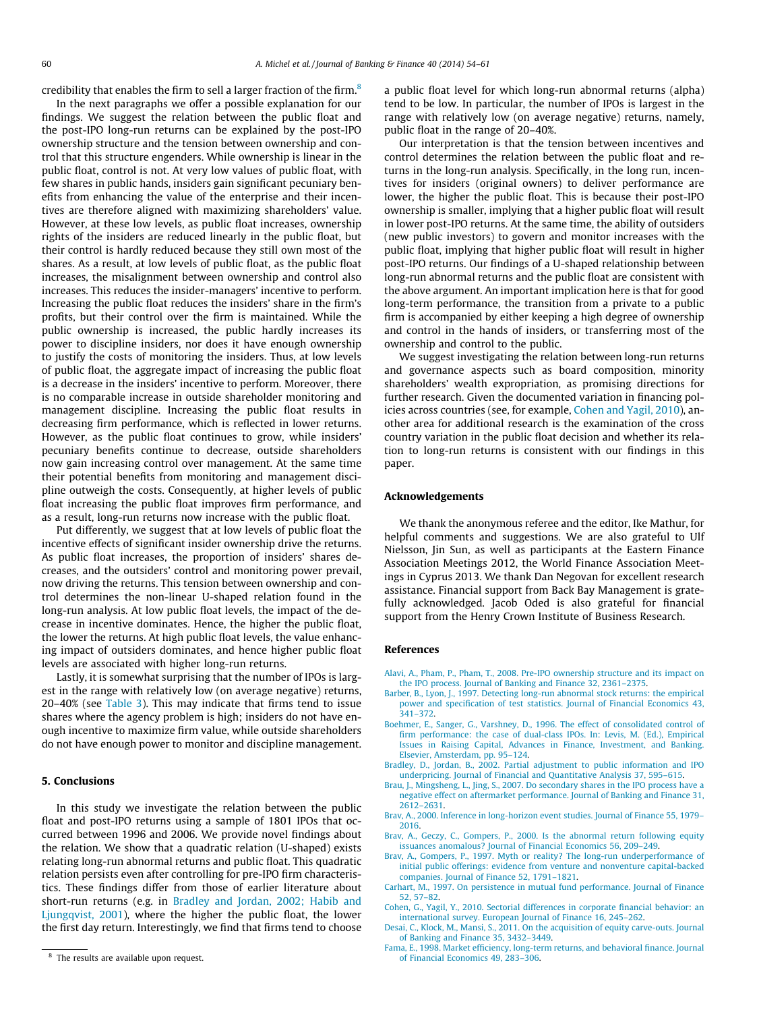<span id="page-6-0"></span>credibility that enables the firm to sell a larger fraction of the firm.<sup>8</sup>

In the next paragraphs we offer a possible explanation for our findings. We suggest the relation between the public float and the post-IPO long-run returns can be explained by the post-IPO ownership structure and the tension between ownership and control that this structure engenders. While ownership is linear in the public float, control is not. At very low values of public float, with few shares in public hands, insiders gain significant pecuniary benefits from enhancing the value of the enterprise and their incentives are therefore aligned with maximizing shareholders' value. However, at these low levels, as public float increases, ownership rights of the insiders are reduced linearly in the public float, but their control is hardly reduced because they still own most of the shares. As a result, at low levels of public float, as the public float increases, the misalignment between ownership and control also increases. This reduces the insider-managers' incentive to perform. Increasing the public float reduces the insiders' share in the firm's profits, but their control over the firm is maintained. While the public ownership is increased, the public hardly increases its power to discipline insiders, nor does it have enough ownership to justify the costs of monitoring the insiders. Thus, at low levels of public float, the aggregate impact of increasing the public float is a decrease in the insiders' incentive to perform. Moreover, there is no comparable increase in outside shareholder monitoring and management discipline. Increasing the public float results in decreasing firm performance, which is reflected in lower returns. However, as the public float continues to grow, while insiders' pecuniary benefits continue to decrease, outside shareholders now gain increasing control over management. At the same time their potential benefits from monitoring and management discipline outweigh the costs. Consequently, at higher levels of public float increasing the public float improves firm performance, and as a result, long-run returns now increase with the public float.

Put differently, we suggest that at low levels of public float the incentive effects of significant insider ownership drive the returns. As public float increases, the proportion of insiders' shares decreases, and the outsiders' control and monitoring power prevail, now driving the returns. This tension between ownership and control determines the non-linear U-shaped relation found in the long-run analysis. At low public float levels, the impact of the decrease in incentive dominates. Hence, the higher the public float, the lower the returns. At high public float levels, the value enhancing impact of outsiders dominates, and hence higher public float levels are associated with higher long-run returns.

Lastly, it is somewhat surprising that the number of IPOs is largest in the range with relatively low (on average negative) returns, 20–40% (see [Table 3\)](#page-4-0). This may indicate that firms tend to issue shares where the agency problem is high; insiders do not have enough incentive to maximize firm value, while outside shareholders do not have enough power to monitor and discipline management.

## 5. Conclusions

In this study we investigate the relation between the public float and post-IPO returns using a sample of 1801 IPOs that occurred between 1996 and 2006. We provide novel findings about the relation. We show that a quadratic relation (U-shaped) exists relating long-run abnormal returns and public float. This quadratic relation persists even after controlling for pre-IPO firm characteristics. These findings differ from those of earlier literature about short-run returns (e.g. in Bradley and Jordan, 2002; Habib and Ljungqvist, 2001), where the higher the public float, the lower the first day return. Interestingly, we find that firms tend to choose

a public float level for which long-run abnormal returns (alpha) tend to be low. In particular, the number of IPOs is largest in the range with relatively low (on average negative) returns, namely, public float in the range of 20–40%.

Our interpretation is that the tension between incentives and control determines the relation between the public float and returns in the long-run analysis. Specifically, in the long run, incentives for insiders (original owners) to deliver performance are lower, the higher the public float. This is because their post-IPO ownership is smaller, implying that a higher public float will result in lower post-IPO returns. At the same time, the ability of outsiders (new public investors) to govern and monitor increases with the public float, implying that higher public float will result in higher post-IPO returns. Our findings of a U-shaped relationship between long-run abnormal returns and the public float are consistent with the above argument. An important implication here is that for good long-term performance, the transition from a private to a public firm is accompanied by either keeping a high degree of ownership and control in the hands of insiders, or transferring most of the ownership and control to the public.

We suggest investigating the relation between long-run returns and governance aspects such as board composition, minority shareholders' wealth expropriation, as promising directions for further research. Given the documented variation in financing policies across countries (see, for example, Cohen and Yagil, 2010), another area for additional research is the examination of the cross country variation in the public float decision and whether its relation to long-run returns is consistent with our findings in this paper.

#### Acknowledgements

We thank the anonymous referee and the editor, Ike Mathur, for helpful comments and suggestions. We are also grateful to Ulf Nielsson, Jin Sun, as well as participants at the Eastern Finance Association Meetings 2012, the World Finance Association Meetings in Cyprus 2013. We thank Dan Negovan for excellent research assistance. Financial support from Back Bay Management is gratefully acknowledged. Jacob Oded is also grateful for financial support from the Henry Crown Institute of Business Research.

#### References

- [Alavi, A., Pham, P., Pham, T., 2008. Pre-IPO ownership structure and its impact on](http://refhub.elsevier.com/S0378-4266(13)00431-7/h0005) [the IPO process. Journal of Banking and Finance 32, 2361–2375](http://refhub.elsevier.com/S0378-4266(13)00431-7/h0005).
- [Barber, B., Lyon, J., 1997. Detecting long-run abnormal stock returns: the empirical](http://refhub.elsevier.com/S0378-4266(13)00431-7/h0010) [power and specification of test statistics. Journal of Financial Economics 43,](http://refhub.elsevier.com/S0378-4266(13)00431-7/h0010)  $341 - 372$ .
- [Boehmer, E., Sanger, G., Varshney, D., 1996. The effect of consolidated control of](http://refhub.elsevier.com/S0378-4266(13)00431-7/h0015) [firm performance: the case of dual-class IPOs. In: Levis, M. \(Ed.\), Empirical](http://refhub.elsevier.com/S0378-4266(13)00431-7/h0015) [Issues in Raising Capital, Advances in Finance, Investment, and Banking.](http://refhub.elsevier.com/S0378-4266(13)00431-7/h0015) [Elsevier, Amsterdam, pp. 95–124](http://refhub.elsevier.com/S0378-4266(13)00431-7/h0015).
- [Bradley, D., Jordan, B., 2002. Partial adjustment to public information and IPO](http://refhub.elsevier.com/S0378-4266(13)00431-7/h0020) [underpricing. Journal of Financial and Quantitative Analysis 37, 595–615.](http://refhub.elsevier.com/S0378-4266(13)00431-7/h0020)
- [Brau, J., Mingsheng, L., Jing, S., 2007. Do secondary shares in the IPO process have a](http://refhub.elsevier.com/S0378-4266(13)00431-7/h0025) [negative effect on aftermarket performance. Journal of Banking and Finance 31,](http://refhub.elsevier.com/S0378-4266(13)00431-7/h0025) [2612–2631](http://refhub.elsevier.com/S0378-4266(13)00431-7/h0025).
- [Brav, A., 2000. Inference in long-horizon event studies. Journal of Finance 55, 1979–](http://refhub.elsevier.com/S0378-4266(13)00431-7/h0030) [2016.](http://refhub.elsevier.com/S0378-4266(13)00431-7/h0030)
- [Brav, A., Geczy, C., Gompers, P., 2000. Is the abnormal return following equity](http://refhub.elsevier.com/S0378-4266(13)00431-7/h0035) [issuances anomalous? Journal of Financial Economics 56, 209–249](http://refhub.elsevier.com/S0378-4266(13)00431-7/h0035).
- [Brav, A., Gompers, P., 1997. Myth or reality? The long-run underperformance of](http://refhub.elsevier.com/S0378-4266(13)00431-7/h0040) [initial public offerings: evidence from venture and nonventure capital-backed](http://refhub.elsevier.com/S0378-4266(13)00431-7/h0040) [companies. Journal of Finance 52, 1791–1821.](http://refhub.elsevier.com/S0378-4266(13)00431-7/h0040)
- [Carhart, M., 1997. On persistence in mutual fund performance. Journal of Finance](http://refhub.elsevier.com/S0378-4266(13)00431-7/h0045) [52, 57–82](http://refhub.elsevier.com/S0378-4266(13)00431-7/h0045).
- [Cohen, G., Yagil, Y., 2010. Sectorial differences in corporate financial behavior: an](http://refhub.elsevier.com/S0378-4266(13)00431-7/h0050) [international survey. European Journal of Finance 16, 245–262.](http://refhub.elsevier.com/S0378-4266(13)00431-7/h0050)
- [Desai, C., Klock, M., Mansi, S., 2011. On the acquisition of equity carve-outs. Journal](http://refhub.elsevier.com/S0378-4266(13)00431-7/h0055) [of Banking and Finance 35, 3432–3449](http://refhub.elsevier.com/S0378-4266(13)00431-7/h0055).
- [Fama, E., 1998. Market efficiency, long-term returns, and behavioral finance. Journal](http://refhub.elsevier.com/S0378-4266(13)00431-7/h0060) <sup>8</sup> The results are available upon request. **8** The results are available upon request.